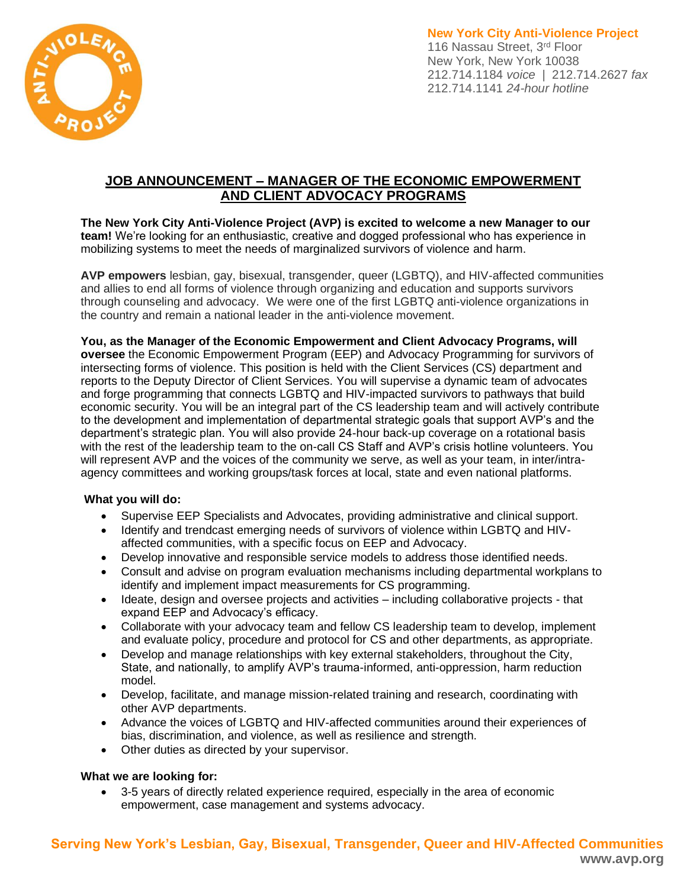

**New York City Anti-Violence Project** 116 Nassau Street, 3rd Floor New York, New York 10038 212.714.1184 *voice* | 212.714.2627 *fax* 212.714.1141 *24-hour hotline*

# **JOB ANNOUNCEMENT – MANAGER OF THE ECONOMIC EMPOWERMENT AND CLIENT ADVOCACY PROGRAMS**

**The New York City Anti-Violence Project (AVP) is excited to welcome a new Manager to our team!** We're looking for an enthusiastic, creative and dogged professional who has experience in mobilizing systems to meet the needs of marginalized survivors of violence and harm.

**AVP empowers** lesbian, gay, bisexual, transgender, queer (LGBTQ), and HIV-affected communities and allies to end all forms of violence through organizing and education and supports survivors through counseling and advocacy. We were one of the first LGBTQ anti-violence organizations in the country and remain a national leader in the anti-violence movement.

**You, as the Manager of the Economic Empowerment and Client Advocacy Programs, will oversee** the Economic Empowerment Program (EEP) and Advocacy Programming for survivors of intersecting forms of violence. This position is held with the Client Services (CS) department and reports to the Deputy Director of Client Services. You will supervise a dynamic team of advocates and forge programming that connects LGBTQ and HIV-impacted survivors to pathways that build economic security. You will be an integral part of the CS leadership team and will actively contribute to the development and implementation of departmental strategic goals that support AVP's and the department's strategic plan. You will also provide 24-hour back-up coverage on a rotational basis with the rest of the leadership team to the on-call CS Staff and AVP's crisis hotline volunteers. You will represent AVP and the voices of the community we serve, as well as your team, in inter/intraagency committees and working groups/task forces at local, state and even national platforms.

### **What you will do:**

- Supervise EEP Specialists and Advocates, providing administrative and clinical support.
- Identify and trendcast emerging needs of survivors of violence within LGBTQ and HIVaffected communities, with a specific focus on EEP and Advocacy.
- Develop innovative and responsible service models to address those identified needs.
- Consult and advise on program evaluation mechanisms including departmental workplans to identify and implement impact measurements for CS programming.
- Ideate, design and oversee projects and activities including collaborative projects that expand EEP and Advocacy's efficacy.
- Collaborate with your advocacy team and fellow CS leadership team to develop, implement and evaluate policy, procedure and protocol for CS and other departments, as appropriate.
- Develop and manage relationships with key external stakeholders, throughout the City, State, and nationally, to amplify AVP's trauma-informed, anti-oppression, harm reduction model.
- Develop, facilitate, and manage mission-related training and research, coordinating with other AVP departments.
- Advance the voices of LGBTQ and HIV-affected communities around their experiences of bias, discrimination, and violence, as well as resilience and strength.
- Other duties as directed by your supervisor.

## **What we are looking for:**

• 3-5 years of directly related experience required, especially in the area of economic empowerment, case management and systems advocacy.